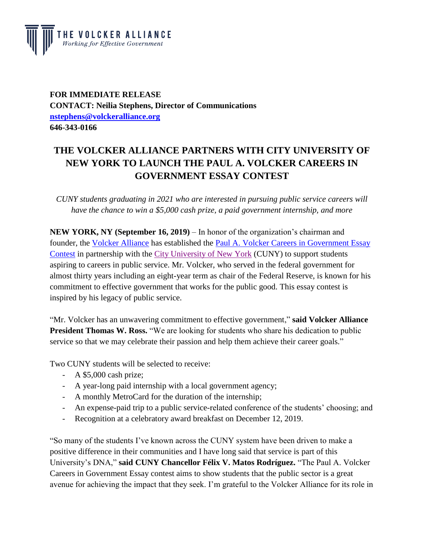

**FOR IMMEDIATE RELEASE CONTACT: Neilia Stephens, Director of Communications [nstephens@volckeralliance.org](mailto:nstephens@volckeralliance.org) 646-343-0166**

## **THE VOLCKER ALLIANCE PARTNERS WITH CITY UNIVERSITY OF NEW YORK TO LAUNCH THE PAUL A. VOLCKER CAREERS IN GOVERNMENT ESSAY CONTEST**

*CUNY students graduating in 2021 who are interested in pursuing public service careers will have the chance to win a \$5,000 cash prize, a paid government internship, and more*

**NEW YORK, NY (September 16, 2019)** – In honor of the organization's chairman and founder, the [Volcker Alliance](https://www.volckeralliance.org/) has established the [Paul A. Volcker Careers in Government Essay](https://www.volckeralliance.org/essay-contest)  [Contest](https://www.volckeralliance.org/essay-contest) in partnership with the [City University of New York](https://www2.cuny.edu/) (CUNY) to support students aspiring to careers in public service. Mr. Volcker, who served in the federal government for almost thirty years including an eight-year term as chair of the Federal Reserve, is known for his commitment to effective government that works for the public good. This essay contest is inspired by his legacy of public service.

"Mr. Volcker has an unwavering commitment to effective government," **said Volcker Alliance President Thomas W. Ross.** "We are looking for students who share his dedication to public service so that we may celebrate their passion and help them achieve their career goals."

Two CUNY students will be selected to receive:

- A \$5,000 cash prize;
- A year-long paid internship with a local government agency;
- A monthly MetroCard for the duration of the internship;
- An expense-paid trip to a public service-related conference of the students' choosing; and
- Recognition at a celebratory award breakfast on December 12, 2019.

"So many of the students I've known across the CUNY system have been driven to make a positive difference in their communities and I have long said that service is part of this University's DNA," **said CUNY Chancellor Félix V. Matos Rodríguez.** "The Paul A. Volcker Careers in Government Essay contest aims to show students that the public sector is a great avenue for achieving the impact that they seek. I'm grateful to the Volcker Alliance for its role in